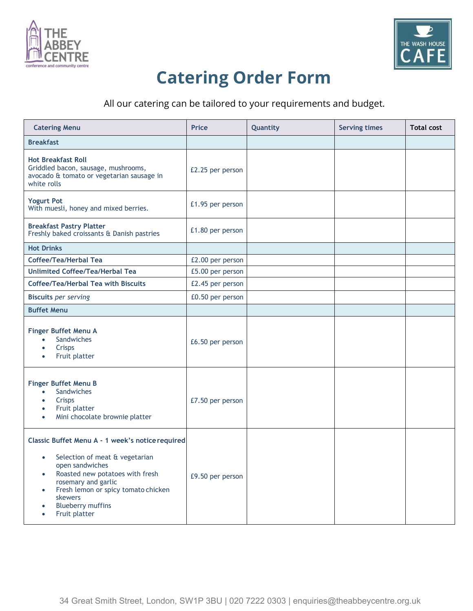



## **Catering Order Form**

All our catering can be tailored to your requirements and budget.

| <b>Catering Menu</b>                                                                                                                                                                                                                                                                                                            | <b>Price</b>     | Quantity | <b>Serving times</b> | <b>Total cost</b> |
|---------------------------------------------------------------------------------------------------------------------------------------------------------------------------------------------------------------------------------------------------------------------------------------------------------------------------------|------------------|----------|----------------------|-------------------|
| <b>Breakfast</b>                                                                                                                                                                                                                                                                                                                |                  |          |                      |                   |
| <b>Hot Breakfast Roll</b><br>Griddled bacon, sausage, mushrooms,<br>avocado & tomato or vegetarian sausage in<br>white rolls                                                                                                                                                                                                    | £2.25 per person |          |                      |                   |
| <b>Yogurt Pot</b><br>With muesli, honey and mixed berries.                                                                                                                                                                                                                                                                      | £1.95 per person |          |                      |                   |
| <b>Breakfast Pastry Platter</b><br>Freshly baked croissants & Danish pastries                                                                                                                                                                                                                                                   | £1.80 per person |          |                      |                   |
| <b>Hot Drinks</b>                                                                                                                                                                                                                                                                                                               |                  |          |                      |                   |
| Coffee/Tea/Herbal Tea                                                                                                                                                                                                                                                                                                           | £2.00 per person |          |                      |                   |
| <b>Unlimited Coffee/Tea/Herbal Tea</b>                                                                                                                                                                                                                                                                                          | £5.00 per person |          |                      |                   |
| Coffee/Tea/Herbal Tea with Biscuits                                                                                                                                                                                                                                                                                             | £2.45 per person |          |                      |                   |
| <b>Biscuits per serving</b>                                                                                                                                                                                                                                                                                                     | £0.50 per person |          |                      |                   |
| <b>Buffet Menu</b>                                                                                                                                                                                                                                                                                                              |                  |          |                      |                   |
| Finger Buffet Menu A<br>Sandwiches<br>$\bullet$<br>Crisps<br>$\bullet$<br>Fruit platter<br>$\bullet$                                                                                                                                                                                                                            | £6.50 per person |          |                      |                   |
| <b>Finger Buffet Menu B</b><br>Sandwiches<br>$\bullet$<br>Crisps<br>$\bullet$<br>Fruit platter<br>$\bullet$<br>Mini chocolate brownie platter<br>$\bullet$                                                                                                                                                                      | £7.50 per person |          |                      |                   |
| Classic Buffet Menu A - 1 week's notice required<br>Selection of meat & vegetarian<br>$\bullet$<br>open sandwiches<br>Roasted new potatoes with fresh<br>$\bullet$<br>rosemary and garlic<br>Fresh lemon or spicy tomato chicken<br>$\bullet$<br>skewers<br><b>Blueberry muffins</b><br>$\bullet$<br>Fruit platter<br>$\bullet$ | £9.50 per person |          |                      |                   |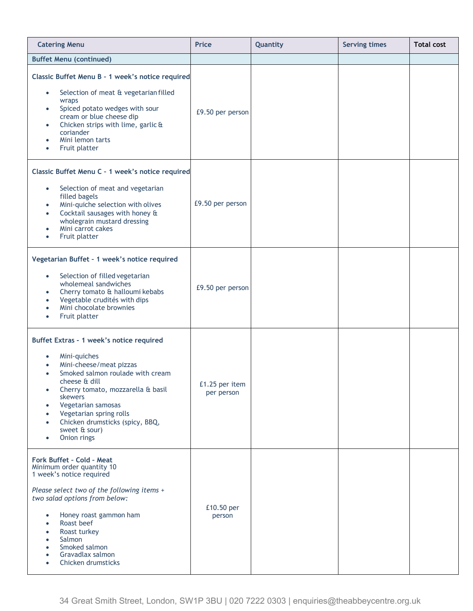| <b>Catering Menu</b>                                                                                                                                                                                                                                                                                                                                                                                                 | <b>Price</b>                 | Quantity | <b>Serving times</b> | <b>Total cost</b> |
|----------------------------------------------------------------------------------------------------------------------------------------------------------------------------------------------------------------------------------------------------------------------------------------------------------------------------------------------------------------------------------------------------------------------|------------------------------|----------|----------------------|-------------------|
| <b>Buffet Menu (continued)</b>                                                                                                                                                                                                                                                                                                                                                                                       |                              |          |                      |                   |
| Classic Buffet Menu B - 1 week's notice required<br>Selection of meat & vegetarian filled<br>$\bullet$<br>wraps<br>Spiced potato wedges with sour<br>$\bullet$<br>cream or blue cheese dip<br>Chicken strips with lime, garlic &<br>$\bullet$<br>coriander<br>Mini lemon tarts<br>$\bullet$<br>Fruit platter<br>$\bullet$                                                                                            | £9.50 per person             |          |                      |                   |
| Classic Buffet Menu C - 1 week's notice required<br>Selection of meat and vegetarian<br>$\bullet$<br>filled bagels<br>Mini-quiche selection with olives<br>$\bullet$<br>Cocktail sausages with honey &<br>$\bullet$<br>wholegrain mustard dressing<br>Mini carrot cakes<br>$\bullet$<br>Fruit platter<br>$\bullet$                                                                                                   | £9.50 per person             |          |                      |                   |
| Vegetarian Buffet - 1 week's notice required<br>Selection of filled vegetarian<br>$\bullet$<br>wholemeal sandwiches<br>Cherry tomato & halloumi kebabs<br>$\bullet$<br>Vegetable crudités with dips<br>$\bullet$<br>Mini chocolate brownies<br>$\bullet$<br>Fruit platter<br>$\bullet$                                                                                                                               | £9.50 per person             |          |                      |                   |
| Buffet Extras - 1 week's notice required<br>Mini-quiches<br>$\bullet$<br>Mini-cheese/meat pizzas<br>$\bullet$<br>Smoked salmon roulade with cream<br>$\bullet$<br>cheese & dill<br>Cherry tomato, mozzarella & basil<br>$\bullet$<br>skewers<br>Vegetarian samosas<br>$\bullet$<br>Vegetarian spring rolls<br>$\bullet$<br>Chicken drumsticks (spicy, BBQ,<br>$\bullet$<br>sweet & sour)<br>Onion rings<br>$\bullet$ | £1.25 per item<br>per person |          |                      |                   |
| Fork Buffet - Cold - Meat<br>Minimum order quantity 10<br>1 week's notice required<br>Please select two of the following items +<br>two salad options from below:<br>Honey roast gammon ham<br>$\bullet$<br>Roast beef<br>$\bullet$<br>Roast turkey<br>Salmon<br>$\bullet$<br>Smoked salmon<br>$\bullet$<br>Gravadlax salmon<br>Chicken drumsticks                                                                   | £10.50 per<br>person         |          |                      |                   |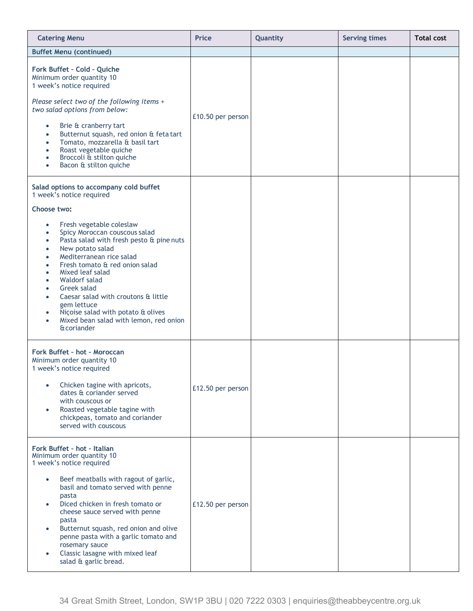| <b>Catering Menu</b>                                                                                                                                                                                                                                                                                                                                                                                                                                                                                                                                                                                                                                         | <b>Price</b>      | Quantity | <b>Serving times</b> | <b>Total cost</b> |
|--------------------------------------------------------------------------------------------------------------------------------------------------------------------------------------------------------------------------------------------------------------------------------------------------------------------------------------------------------------------------------------------------------------------------------------------------------------------------------------------------------------------------------------------------------------------------------------------------------------------------------------------------------------|-------------------|----------|----------------------|-------------------|
| <b>Buffet Menu (continued)</b>                                                                                                                                                                                                                                                                                                                                                                                                                                                                                                                                                                                                                               |                   |          |                      |                   |
| Fork Buffet - Cold - Quiche<br>Minimum order quantity 10<br>1 week's notice required<br>Please select two of the following items +<br>two salad options from below:<br>Brie & cranberry tart<br>$\bullet$<br>Butternut squash, red onion & feta tart<br>$\bullet$<br>Tomato, mozzarella & basil tart<br>$\bullet$<br>Roast vegetable quiche<br>$\bullet$<br>Broccoli & stilton quiche<br>$\bullet$<br>Bacon & stilton quiche<br>$\bullet$                                                                                                                                                                                                                    | £10.50 per person |          |                      |                   |
| Salad options to accompany cold buffet<br>1 week's notice required<br>Choose two:<br>Fresh vegetable coleslaw<br>$\bullet$<br>Spicy Moroccan couscous salad<br>$\bullet$<br>Pasta salad with fresh pesto & pine nuts<br>$\bullet$<br>New potato salad<br>$\bullet$<br>Mediterranean rice salad<br>$\bullet$<br>Fresh tomato & red onion salad<br>$\bullet$<br>Mixed leaf salad<br>$\bullet$<br>Waldorf salad<br>$\bullet$<br>Greek salad<br>$\bullet$<br>Caesar salad with croutons & little<br>$\bullet$<br>gem lettuce<br>Niçoise salad with potato & olives<br>$\bullet$<br>Mixed bean salad with lemon, red onion<br>$\bullet$<br><b>&amp;</b> coriander |                   |          |                      |                   |
| Fork Buffet - hot - Moroccan<br>Minimum order quantity 10<br>1 week's notice required<br>Chicken tagine with apricots,<br>$\bullet$<br>dates & coriander served<br>with couscous or<br>Roasted vegetable tagine with<br>$\bullet$<br>chickpeas, tomato and coriander<br>served with couscous                                                                                                                                                                                                                                                                                                                                                                 | £12.50 per person |          |                      |                   |
| Fork Buffet - hot - Italian<br>Minimum order quantity 10<br>1 week's notice required<br>Beef meatballs with ragout of garlic,<br>$\bullet$<br>basil and tomato served with penne<br>pasta<br>Diced chicken in fresh tomato or<br>$\bullet$<br>cheese sauce served with penne<br>pasta<br>Butternut squash, red onion and olive<br>$\bullet$<br>penne pasta with a garlic tomato and<br>rosemary sauce<br>Classic lasagne with mixed leaf<br>$\bullet$<br>salad & garlic bread.                                                                                                                                                                               | £12.50 per person |          |                      |                   |